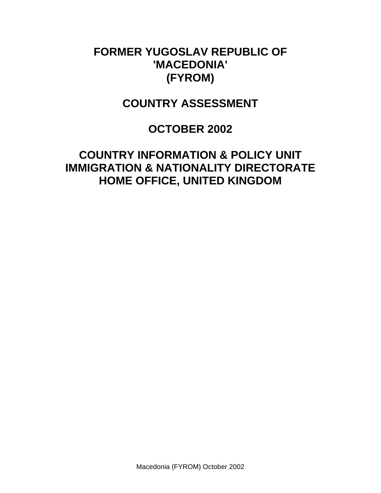# **FORMER YUGOSLAV REPUBLIC OF 'MACEDONIA' (FYROM)**

## **COUNTRY ASSESSMENT**

# **OCTOBER 2002**

# **COUNTRY INFORMATION & POLICY UNIT IMMIGRATION & NATIONALITY DIRECTORATE HOME OFFICE, UNITED KINGDOM**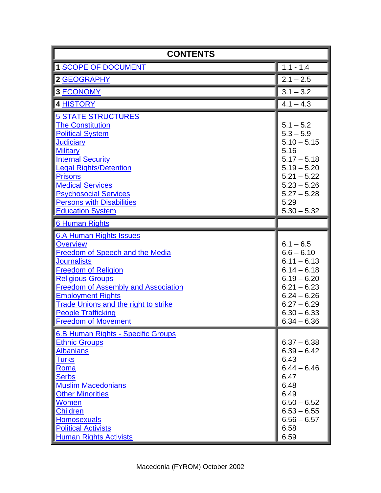<span id="page-1-0"></span>

| <b>CONTENTS</b>                                                                                                                                                                                                                                                                                                                                         |                                                                                                                                                                     |  |
|---------------------------------------------------------------------------------------------------------------------------------------------------------------------------------------------------------------------------------------------------------------------------------------------------------------------------------------------------------|---------------------------------------------------------------------------------------------------------------------------------------------------------------------|--|
| <b>1 SCOPE OF DOCUMENT</b>                                                                                                                                                                                                                                                                                                                              | $1.1 - 1.4$                                                                                                                                                         |  |
| <b>2 GEOGRAPHY</b>                                                                                                                                                                                                                                                                                                                                      | $2.1 - 2.5$                                                                                                                                                         |  |
| <b>3 ECONOMY</b>                                                                                                                                                                                                                                                                                                                                        | $3.1 - 3.2$                                                                                                                                                         |  |
| <b>4 HISTORY</b>                                                                                                                                                                                                                                                                                                                                        | $4.1 - 4.3$                                                                                                                                                         |  |
| <b>5 STATE STRUCTURES</b><br><b>The Constitution</b><br><b>Political System</b><br><b>Judiciary</b><br><b>Military</b><br><b>Internal Security</b><br><b>Legal Rights/Detention</b><br><b>Prisons</b><br><b>Medical Services</b><br><b>Psychosocial Services</b><br><b>Persons with Disabilities</b><br><b>Education System</b>                         | $5.1 - 5.2$<br>$5.3 - 5.9$<br>$5.10 - 5.15$<br>5.16<br>$5.17 - 5.18$<br>$5.19 - 5.20$<br>$5.21 - 5.22$<br>$5.23 - 5.26$<br>$5.27 - 5.28$<br>5.29<br>$5.30 - 5.32$   |  |
| <b>6 Human Rights</b>                                                                                                                                                                                                                                                                                                                                   |                                                                                                                                                                     |  |
| 6.A Human Rights Issues<br><b>Overview</b><br><b>Freedom of Speech and the Media</b><br><b>Journalists</b><br><b>Freedom of Religion</b><br><b>Religious Groups</b><br><b>Freedom of Assembly and Association</b><br><b>Employment Rights</b><br><b>Trade Unions and the right to strike</b><br><b>People Trafficking</b><br><b>Freedom of Movement</b> | $6.1 - 6.5$<br>$6.6 - 6.10$<br>$6.11 - 6.13$<br>$6.14 - 6.18$<br>$6.19 - 6.20$<br>$6.21 - 6.23$<br>$6.24 - 6.26$<br>$6.27 - 6.29$<br>$6.30 - 6.33$<br>$6.34 - 6.36$ |  |
| 6.B Human Rights - Specific Groups<br><b>Ethnic Groups</b><br><b>Albanians</b><br><u>Turks</u><br>Roma<br><u>Serbs</u><br><b>Muslim Macedonians</b><br><b>Other Minorities</b><br><b>Women</b><br><u>Children</u><br><b>Homosexuals</b><br><b>Political Activists</b><br><b>Human Rights Activists</b>                                                  | $6.37 - 6.38$<br>$6.39 - 6.42$<br>6.43<br>$6.44 - 6.46$<br>6.47<br>6.48<br>6.49<br>$6.50 - 6.52$<br>$6.53 - 6.55$<br>$6.56 - 6.57$<br>6.58<br>6.59                  |  |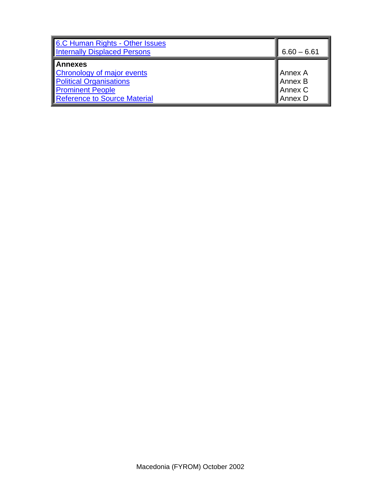| 6.C Human Rights - Other Issues<br><b>Internally Displaced Persons</b>                                                                           | $6.60 - 6.61$                             |
|--------------------------------------------------------------------------------------------------------------------------------------------------|-------------------------------------------|
| <b>Annexes</b><br><b>Chronology of major events</b><br><b>Political Organisations</b><br><b>Prominent People</b><br>Reference to Source Material | ∥Annex A<br>Annex B<br>Annex C<br>Annex D |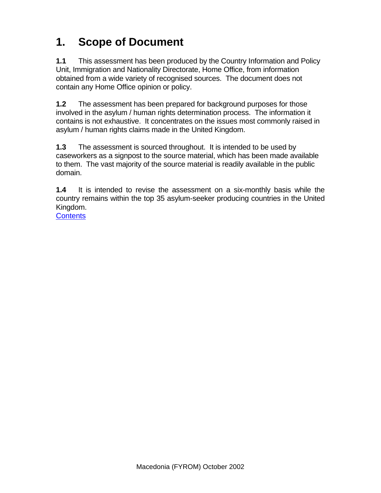# <span id="page-3-0"></span>**1. Scope of Document**

**1.1** This assessment has been produced by the Country Information and Policy Unit, Immigration and Nationality Directorate, Home Office, from information obtained from a wide variety of recognised sources. The document does not contain any Home Office opinion or policy.

**1.2** The assessment has been prepared for background purposes for those involved in the asylum / human rights determination process. The information it contains is not exhaustive. It concentrates on the issues most commonly raised in asylum / human rights claims made in the United Kingdom.

**1.3** The assessment is sourced throughout. It is intended to be used by caseworkers as a signpost to the source material, which has been made available to them. The vast majority of the source material is readily available in the public domain.

**1.4** It is intended to revise the assessment on a six-monthly basis while the country remains within the top 35 asylum-seeker producing countries in the United Kingdom.

**[Contents](#page-1-0)**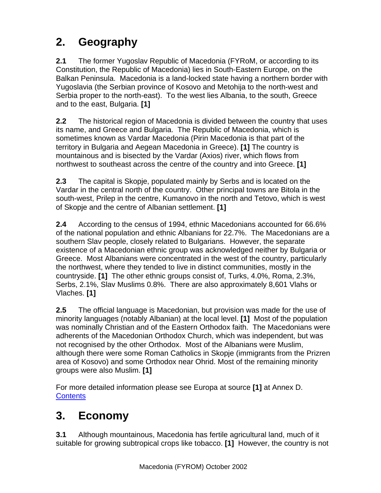# <span id="page-4-0"></span>**2. Geography**

**2.1** The former Yugoslav Republic of Macedonia (FYRoM, or according to its Constitution, the Republic of Macedonia) lies in South-Eastern Europe, on the Balkan Peninsula. Macedonia is a land-locked state having a northern border with Yugoslavia (the Serbian province of Kosovo and Metohija to the north-west and Serbia proper to the north-east). To the west lies Albania, to the south, Greece and to the east, Bulgaria. **[1]** 

**2.2** The historical region of Macedonia is divided between the country that uses its name, and Greece and Bulgaria. The Republic of Macedonia, which is sometimes known as Vardar Macedonia (Pirin Macedonia is that part of the territory in Bulgaria and Aegean Macedonia in Greece). **[1]** The country is mountainous and is bisected by the Vardar (Axios) river, which flows from northwest to southeast across the centre of the country and into Greece. **[1]** 

**2.3** The capital is Skopje, populated mainly by Serbs and is located on the Vardar in the central north of the country. Other principal towns are Bitola in the south-west, Prilep in the centre, Kumanovo in the north and Tetovo, which is west of Skopje and the centre of Albanian settlement. **[1]**

**2.4** According to the census of 1994, ethnic Macedonians accounted for 66.6% of the national population and ethnic Albanians for 22.7%. The Macedonians are a southern Slav people, closely related to Bulgarians. However, the separate existence of a Macedonian ethnic group was acknowledged neither by Bulgaria or Greece. Most Albanians were concentrated in the west of the country, particularly the northwest, where they tended to live in distinct communities, mostly in the countryside. **[1]** The other ethnic groups consist of, Turks, 4.0%, Roma, 2.3%, Serbs, 2.1%, Slav Muslims 0.8%. There are also approximately 8,601 Vlahs or Vlaches. **[1]** 

**2.5** The official language is Macedonian, but provision was made for the use of minority languages (notably Albanian) at the local level. **[1]** Most of the population was nominally Christian and of the Eastern Orthodox faith. The Macedonians were adherents of the Macedonian Orthodox Church, which was independent, but was not recognised by the other Orthodox. Most of the Albanians were Muslim, although there were some Roman Catholics in Skopje (immigrants from the Prizren area of Kosovo) and some Orthodox near Ohrid. Most of the remaining minority groups were also Muslim. **[1]** 

For more detailed information please see Europa at source **[1]** at Annex D. **[Contents](#page-1-0)** 

# **3. Economy**

**3.1** Although mountainous, Macedonia has fertile agricultural land, much of it suitable for growing subtropical crops like tobacco. **[1]** However, the country is not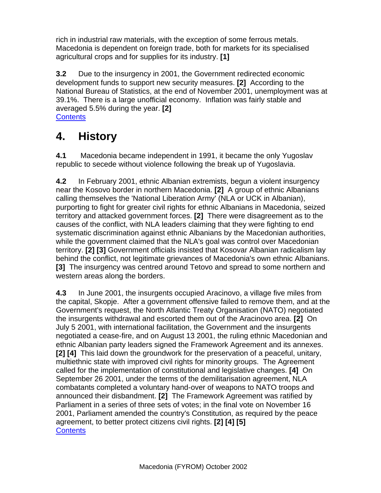<span id="page-5-0"></span>rich in industrial raw materials, with the exception of some ferrous metals. Macedonia is dependent on foreign trade, both for markets for its specialised agricultural crops and for supplies for its industry. **[1]**

**3.2** Due to the insurgency in 2001, the Government redirected economic development funds to support new security measures. **[2]** According to the National Bureau of Statistics, at the end of November 2001, unemployment was at 39.1%. There is a large unofficial economy. Inflation was fairly stable and averaged 5.5% during the year. **[2] [Contents](#page-1-0)** 

# **4. History**

**4.1** Macedonia became independent in 1991, it became the only Yugoslav republic to secede without violence following the break up of Yugoslavia.

**4.2** In February 2001, ethnic Albanian extremists, begun a violent insurgency near the Kosovo border in northern Macedonia. **[2]** A group of ethnic Albanians calling themselves the 'National Liberation Army' (NLA or UCK in Albanian), purporting to fight for greater civil rights for ethnic Albanians in Macedonia, seized territory and attacked government forces. **[2]** There were disagreement as to the causes of the conflict, with NLA leaders claiming that they were fighting to end systematic discrimination against ethnic Albanians by the Macedonian authorities, while the government claimed that the NLA's goal was control over Macedonian territory. **[2] [3]** Government officials insisted that Kosovar Albanian radicalism lay behind the conflict, not legitimate grievances of Macedonia's own ethnic Albanians. **[3]** The insurgency was centred around Tetovo and spread to some northern and western areas along the borders.

**4.3** In June 2001, the insurgents occupied Aracinovo, a village five miles from the capital, Skopje. After a government offensive failed to remove them, and at the Government's request, the North Atlantic Treaty Organisation (NATO) negotiated the insurgents withdrawal and escorted them out of the Aracinovo area. **[2]** On July 5 2001, with international facilitation, the Government and the insurgents negotiated a cease-fire, and on August 13 2001, the ruling ethnic Macedonian and ethnic Albanian party leaders signed the Framework Agreement and its annexes. **[2] [4]** This laid down the groundwork for the preservation of a peaceful, unitary, multiethnic state with improved civil rights for minority groups. The Agreement called for the implementation of constitutional and legislative changes. **[4]** On September 26 2001, under the terms of the demilitarisation agreement, NLA combatants completed a voluntary hand-over of weapons to NATO troops and announced their disbandment. **[2]** The Framework Agreement was ratified by Parliament in a series of three sets of votes; in the final vote on November 16 2001, Parliament amended the country's Constitution, as required by the peace agreement, to better protect citizens civil rights. **[2] [4] [5] [Contents](#page-1-0)**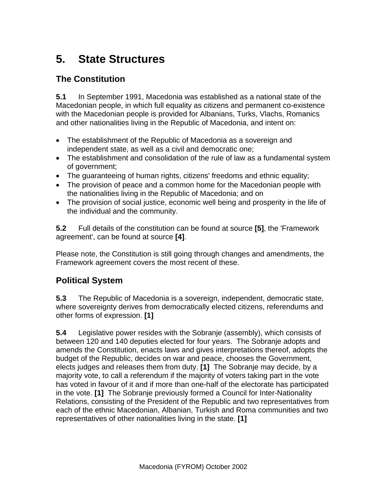# <span id="page-6-0"></span>**5. State Structures**

#### **The Constitution**

**5.1** In September 1991, Macedonia was established as a national state of the Macedonian people, in which full equality as citizens and permanent co-existence with the Macedonian people is provided for Albanians, Turks, Vlachs, Romanics and other nationalities living in the Republic of Macedonia, and intent on:

- The establishment of the Republic of Macedonia as a sovereign and independent state, as well as a civil and democratic one;
- The establishment and consolidation of the rule of law as a fundamental system of government;
- The guaranteeing of human rights, citizens' freedoms and ethnic equality;
- The provision of peace and a common home for the Macedonian people with the nationalities living in the Republic of Macedonia; and on
- The provision of social justice, economic well being and prosperity in the life of the individual and the community.

**5.2** Full details of the constitution can be found at source **[5]**, the 'Framework agreement', can be found at source **[4]**.

Please note, the Constitution is still going through changes and amendments, the Framework agreement covers the most recent of these.

#### **Political System**

**5.3** The Republic of Macedonia is a sovereign, independent, democratic state, where sovereignty derives from democratically elected citizens, referendums and other forms of expression. **[1]**

**5.4** Legislative power resides with the Sobranje (assembly), which consists of between 120 and 140 deputies elected for four years. The Sobranje adopts and amends the Constitution, enacts laws and gives interpretations thereof, adopts the budget of the Republic, decides on war and peace, chooses the Government, elects judges and releases them from duty. **[1]** The Sobranje may decide, by a majority vote, to call a referendum if the majority of voters taking part in the vote has voted in favour of it and if more than one-half of the electorate has participated in the vote. **[1]** The Sobranje previously formed a Council for Inter-Nationality Relations, consisting of the President of the Republic and two representatives from each of the ethnic Macedonian, Albanian, Turkish and Roma communities and two representatives of other nationalities living in the state. **[1]**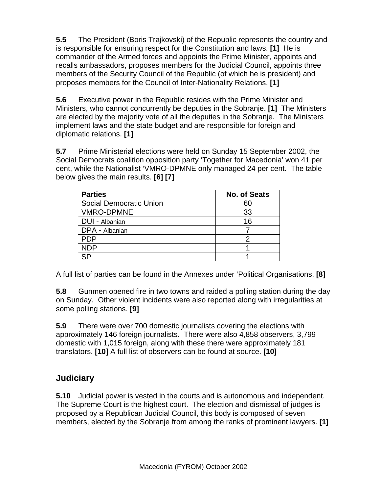<span id="page-7-0"></span>**5.5** The President (Boris Trajkovski) of the Republic represents the country and is responsible for ensuring respect for the Constitution and laws. **[1]** He is commander of the Armed forces and appoints the Prime Minister, appoints and recalls ambassadors, proposes members for the Judicial Council, appoints three members of the Security Council of the Republic (of which he is president) and proposes members for the Council of Inter-Nationality Relations. **[1]**

**5.6** Executive power in the Republic resides with the Prime Minister and Ministers, who cannot concurrently be deputies in the Sobranje. **[1]** The Ministers are elected by the majority vote of all the deputies in the Sobranje. The Ministers implement laws and the state budget and are responsible for foreign and diplomatic relations. **[1]**

**5.7** Prime Ministerial elections were held on Sunday 15 September 2002, the Social Democrats coalition opposition party 'Together for Macedonia' won 41 per cent, while the Nationalist 'VMRO-DPMNE only managed 24 per cent. The table below gives the main results. **[6] [7]** 

| <b>Parties</b>          | <b>No. of Seats</b> |
|-------------------------|---------------------|
| Social Democratic Union | 60                  |
| <b>VMRO-DPMNE</b>       | 33                  |
| DUI - Albanian          | 16                  |
| DPA - Albanian          |                     |
| <b>PDP</b>              | າ                   |
| <b>NDP</b>              |                     |
| <b>QD</b>               |                     |

A full list of parties can be found in the Annexes under 'Political Organisations. **[8]** 

**5.8** Gunmen opened fire in two towns and raided a polling station during the day on Sunday. Other violent incidents were also reported along with irregularities at some polling stations. **[9]**

**5.9** There were over 700 domestic journalists covering the elections with approximately 146 foreign journalists. There were also 4,858 observers, 3,799 domestic with 1,015 foreign, along with these there were approximately 181 translators. **[10]** A full list of observers can be found at source. **[10]**

#### **Judiciary**

**5.10** Judicial power is vested in the courts and is autonomous and independent. The Supreme Court is the highest court. The election and dismissal of judges is proposed by a Republican Judicial Council, this body is composed of seven members, elected by the Sobranje from among the ranks of prominent lawyers. **[1]**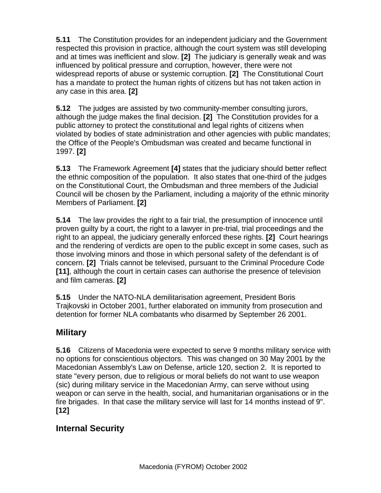<span id="page-8-0"></span>**5.11** The Constitution provides for an independent judiciary and the Government respected this provision in practice, although the court system was still developing and at times was inefficient and slow. **[2]** The judiciary is generally weak and was influenced by political pressure and corruption, however, there were not widespread reports of abuse or systemic corruption. **[2]** The Constitutional Court has a mandate to protect the human rights of citizens but has not taken action in any case in this area. **[2]**

**5.12** The judges are assisted by two community-member consulting jurors, although the judge makes the final decision. **[2]** The Constitution provides for a public attorney to protect the constitutional and legal rights of citizens when violated by bodies of state administration and other agencies with public mandates; the Office of the People's Ombudsman was created and became functional in 1997. **[2]**

**5.13** The Framework Agreement **[4]** states that the judiciary should better reflect the ethnic composition of the population. It also states that one-third of the judges on the Constitutional Court, the Ombudsman and three members of the Judicial Council will be chosen by the Parliament, including a majority of the ethnic minority Members of Parliament. **[2]**

**5.14** The law provides the right to a fair trial, the presumption of innocence until proven guilty by a court, the right to a lawyer in pre-trial, trial proceedings and the right to an appeal, the judiciary generally enforced these rights. **[2]** Court hearings and the rendering of verdicts are open to the public except in some cases, such as those involving minors and those in which personal safety of the defendant is of concern. **[2]** Trials cannot be televised, pursuant to the Criminal Procedure Code **[11]**, although the court in certain cases can authorise the presence of television and film cameras. **[2]**

**5.15** Under the NATO-NLA demilitarisation agreement, President Boris Trajkovski in October 2001, further elaborated on immunity from prosecution and detention for former NLA combatants who disarmed by September 26 2001.

#### **Military**

**5.16** Citizens of Macedonia were expected to serve 9 months military service with no options for conscientious objectors. This was changed on 30 May 2001 by the Macedonian Assembly's Law on Defense, article 120, section 2. It is reported to state "every person, due to religious or moral beliefs do not want to use weapon (sic) during military service in the Macedonian Army, can serve without using weapon or can serve in the health, social, and humanitarian organisations or in the fire brigades. In that case the military service will last for 14 months instead of 9". **[12]** 

## **Internal Security**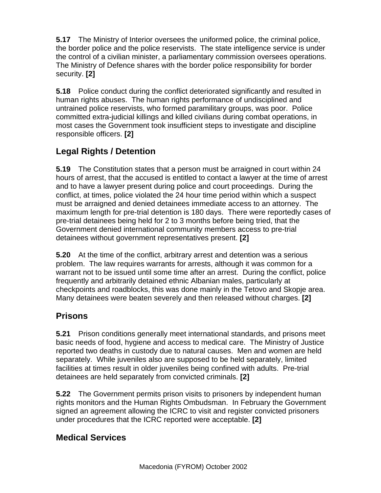<span id="page-9-0"></span>**5.17** The Ministry of Interior oversees the uniformed police, the criminal police, the border police and the police reservists. The state intelligence service is under the control of a civilian minister, a parliamentary commission oversees operations. The Ministry of Defence shares with the border police responsibility for border security. **[2]** 

**5.18** Police conduct during the conflict deteriorated significantly and resulted in human rights abuses. The human rights performance of undisciplined and untrained police reservists, who formed paramilitary groups, was poor. Police committed extra-judicial killings and killed civilians during combat operations, in most cases the Government took insufficient steps to investigate and discipline responsible officers. **[2]** 

## **Legal Rights / Detention**

**5.19** The Constitution states that a person must be arraigned in court within 24 hours of arrest, that the accused is entitled to contact a lawyer at the time of arrest and to have a lawyer present during police and court proceedings. During the conflict, at times, police violated the 24 hour time period within which a suspect must be arraigned and denied detainees immediate access to an attorney. The maximum length for pre-trial detention is 180 days. There were reportedly cases of pre-trial detainees being held for 2 to 3 months before being tried, that the Government denied international community members access to pre-trial detainees without government representatives present. **[2]** 

**5.20** At the time of the conflict, arbitrary arrest and detention was a serious problem. The law requires warrants for arrests, although it was common for a warrant not to be issued until some time after an arrest. During the conflict, police frequently and arbitrarily detained ethnic Albanian males, particularly at checkpoints and roadblocks, this was done mainly in the Tetovo and Skopje area. Many detainees were beaten severely and then released without charges. **[2]** 

#### **Prisons**

**5.21** Prison conditions generally meet international standards, and prisons meet basic needs of food, hygiene and access to medical care. The Ministry of Justice reported two deaths in custody due to natural causes. Men and women are held separately. While juveniles also are supposed to be held separately, limited facilities at times result in older juveniles being confined with adults. Pre-trial detainees are held separately from convicted criminals. **[2]** 

**5.22** The Government permits prison visits to prisoners by independent human rights monitors and the Human Rights Ombudsman. In February the Government signed an agreement allowing the ICRC to visit and register convicted prisoners under procedures that the ICRC reported were acceptable. **[2]** 

#### **Medical Services**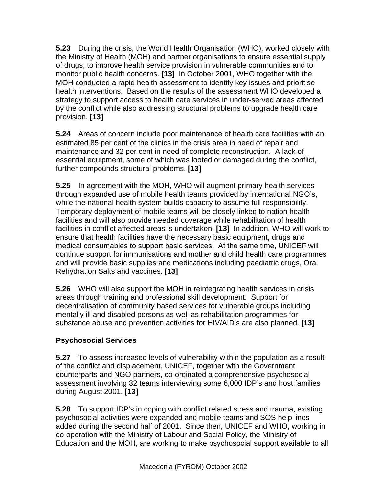<span id="page-10-0"></span>**5.23** During the crisis, the World Health Organisation (WHO), worked closely with the Ministry of Health (MOH) and partner organisations to ensure essential supply of drugs, to improve health service provision in vulnerable communities and to monitor public health concerns. **[13]** In October 2001, WHO together with the MOH conducted a rapid health assessment to identify key issues and prioritise health interventions. Based on the results of the assessment WHO developed a strategy to support access to health care services in under-served areas affected by the conflict while also addressing structural problems to upgrade health care provision. **[13]** 

**5.24** Areas of concern include poor maintenance of health care facilities with an estimated 85 per cent of the clinics in the crisis area in need of repair and maintenance and 32 per cent in need of complete reconstruction. A lack of essential equipment, some of which was looted or damaged during the conflict, further compounds structural problems. **[13]** 

**5.25** In agreement with the MOH, WHO will augment primary health services through expanded use of mobile health teams provided by international NGO's, while the national health system builds capacity to assume full responsibility. Temporary deployment of mobile teams will be closely linked to nation health facilities and will also provide needed coverage while rehabilitation of health facilities in conflict affected areas is undertaken. **[13]** In addition, WHO will work to ensure that health facilities have the necessary basic equipment, drugs and medical consumables to support basic services. At the same time, UNICEF will continue support for immunisations and mother and child health care programmes and will provide basic supplies and medications including paediatric drugs, Oral Rehydration Salts and vaccines. **[13]** 

**5.26** WHO will also support the MOH in reintegrating health services in crisis areas through training and professional skill development. Support for decentralisation of community based services for vulnerable groups including mentally ill and disabled persons as well as rehabilitation programmes for substance abuse and prevention activities for HIV/AID's are also planned. **[13]**

#### **Psychosocial Services**

**5.27** To assess increased levels of vulnerability within the population as a result of the conflict and displacement, UNICEF, together with the Government counterparts and NGO partners, co-ordinated a comprehensive psychosocial assessment involving 32 teams interviewing some 6,000 IDP's and host families during August 2001. **[13]** 

**5.28** To support IDP's in coping with conflict related stress and trauma, existing psychosocial activities were expanded and mobile teams and SOS help lines added during the second half of 2001. Since then, UNICEF and WHO, working in co-operation with the Ministry of Labour and Social Policy, the Ministry of Education and the MOH, are working to make psychosocial support available to all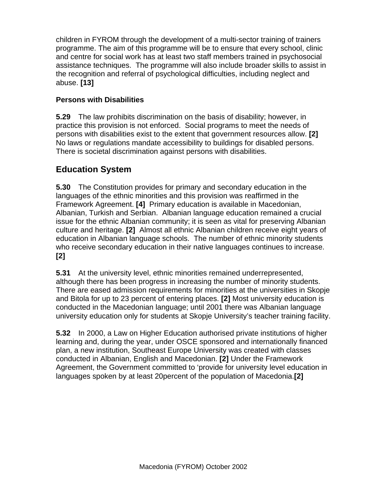<span id="page-11-0"></span>children in FYROM through the development of a multi-sector training of trainers programme. The aim of this programme will be to ensure that every school, clinic and centre for social work has at least two staff members trained in psychosocial assistance techniques. The programme will also include broader skills to assist in the recognition and referral of psychological difficulties, including neglect and abuse. **[13]** 

#### **Persons with Disabilities**

**5.29** The law prohibits discrimination on the basis of disability; however, in practice this provision is not enforced. Social programs to meet the needs of persons with disabilities exist to the extent that government resources allow. **[2]** No laws or regulations mandate accessibility to buildings for disabled persons. There is societal discrimination against persons with disabilities.

## **Education System**

**5.30** The Constitution provides for primary and secondary education in the languages of the ethnic minorities and this provision was reaffirmed in the Framework Agreement. **[4]** Primary education is available in Macedonian, Albanian, Turkish and Serbian. Albanian language education remained a crucial issue for the ethnic Albanian community; it is seen as vital for preserving Albanian culture and heritage. **[2]** Almost all ethnic Albanian children receive eight years of education in Albanian language schools. The number of ethnic minority students who receive secondary education in their native languages continues to increase. **[2]**

**5.31** At the university level, ethnic minorities remained underrepresented, although there has been progress in increasing the number of minority students. There are eased admission requirements for minorities at the universities in Skopje and Bitola for up to 23 percent of entering places. **[2]** Most university education is conducted in the Macedonian language; until 2001 there was Albanian language university education only for students at Skopje University's teacher training facility.

**5.32** In 2000, a Law on Higher Education authorised private institutions of higher learning and, during the year, under OSCE sponsored and internationally financed plan, a new institution, Southeast Europe University was created with classes conducted in Albanian, English and Macedonian. **[2]** Under the Framework Agreement, the Government committed to 'provide for university level education in languages spoken by at least 20percent of the population of Macedonia.**[2]**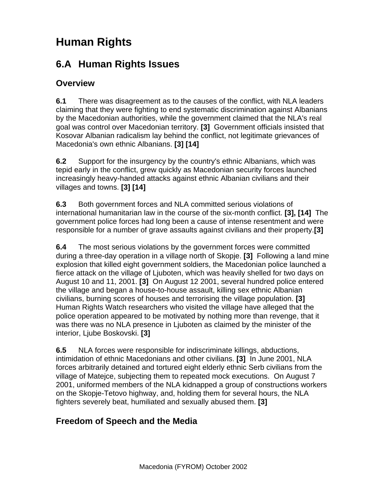# <span id="page-12-0"></span>**Human Rights**

## **6.A Human Rights Issues**

#### **Overview**

**6.1** There was disagreement as to the causes of the conflict, with NLA leaders claiming that they were fighting to end systematic discrimination against Albanians by the Macedonian authorities, while the government claimed that the NLA's real goal was control over Macedonian territory. **[3]** Government officials insisted that Kosovar Albanian radicalism lay behind the conflict, not legitimate grievances of Macedonia's own ethnic Albanians. **[3] [14]** 

**6.2** Support for the insurgency by the country's ethnic Albanians, which was tepid early in the conflict, grew quickly as Macedonian security forces launched increasingly heavy-handed attacks against ethnic Albanian civilians and their villages and towns. **[3] [14]** 

**6.3** Both government forces and NLA committed serious violations of international humanitarian law in the course of the six-month conflict. **[3], [14]** The government police forces had long been a cause of intense resentment and were responsible for a number of grave assaults against civilians and their property.**[3]** 

**6.4** The most serious violations by the government forces were committed during a three-day operation in a village north of Skopje. **[3]** Following a land mine explosion that killed eight government soldiers, the Macedonian police launched a fierce attack on the village of Ljuboten, which was heavily shelled for two days on August 10 and 11, 2001. **[3]** On August 12 2001, several hundred police entered the village and began a house-to-house assault, killing sex ethnic Albanian civilians, burning scores of houses and terrorising the village population. **[3]** Human Rights Watch researchers who visited the village have alleged that the police operation appeared to be motivated by nothing more than revenge, that it was there was no NLA presence in Ljuboten as claimed by the minister of the interior, Ljube Boskovski. **[3]**

**6.5** NLA forces were responsible for indiscriminate killings, abductions, intimidation of ethnic Macedonians and other civilians. **[3]** In June 2001, NLA forces arbitrarily detained and tortured eight elderly ethnic Serb civilians from the village of Matejce, subjecting them to repeated mock executions. On August 7 2001, uniformed members of the NLA kidnapped a group of constructions workers on the Skopje-Tetovo highway, and, holding them for several hours, the NLA fighters severely beat, humiliated and sexually abused them. **[3]**

#### **Freedom of Speech and the Media**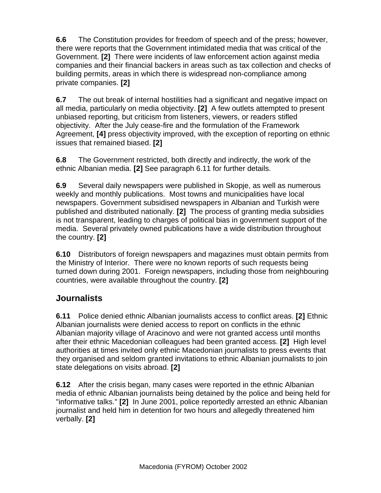<span id="page-13-0"></span>**6.6** The Constitution provides for freedom of speech and of the press; however, there were reports that the Government intimidated media that was critical of the Government. **[2]** There were incidents of law enforcement action against media companies and their financial backers in areas such as tax collection and checks of building permits, areas in which there is widespread non-compliance among private companies. **[2]** 

**6.7** The out break of internal hostilities had a significant and negative impact on all media, particularly on media objectivity. **[2]** A few outlets attempted to present unbiased reporting, but criticism from listeners, viewers, or readers stifled objectivity. After the July cease-fire and the formulation of the Framework Agreement, **[4]** press objectivity improved, with the exception of reporting on ethnic issues that remained biased. **[2]**

**6.8** The Government restricted, both directly and indirectly, the work of the ethnic Albanian media. **[2]** See paragraph 6.11 for further details.

**6.9** Several daily newspapers were published in Skopje, as well as numerous weekly and monthly publications. Most towns and municipalities have local newspapers. Government subsidised newspapers in Albanian and Turkish were published and distributed nationally. **[2]** The process of granting media subsidies is not transparent, leading to charges of political bias in government support of the media. Several privately owned publications have a wide distribution throughout the country. **[2]**

**6.10** Distributors of foreign newspapers and magazines must obtain permits from the Ministry of Interior. There were no known reports of such requests being turned down during 2001. Foreign newspapers, including those from neighbouring countries, were available throughout the country. **[2]**

#### **Journalists**

**6.11** Police denied ethnic Albanian journalists access to conflict areas. **[2]** Ethnic Albanian journalists were denied access to report on conflicts in the ethnic Albanian majority village of Aracinovo and were not granted access until months after their ethnic Macedonian colleagues had been granted access. **[2]** High level authorities at times invited only ethnic Macedonian journalists to press events that they organised and seldom granted invitations to ethnic Albanian journalists to join state delegations on visits abroad. **[2]**

**6.12** After the crisis began, many cases were reported in the ethnic Albanian media of ethnic Albanian journalists being detained by the police and being held for "informative talks." **[2]** In June 2001, police reportedly arrested an ethnic Albanian journalist and held him in detention for two hours and allegedly threatened him verbally. **[2]**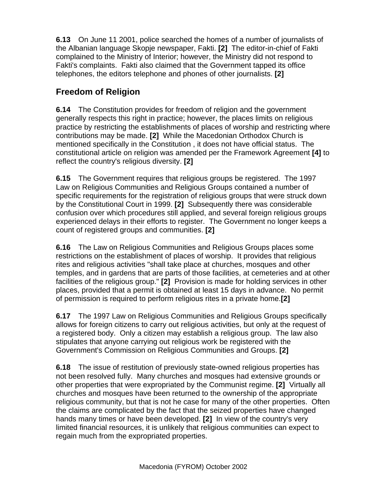<span id="page-14-0"></span>**6.13** On June 11 2001, police searched the homes of a number of journalists of the Albanian language Skopje newspaper, Fakti. **[2]** The editor-in-chief of Fakti complained to the Ministry of Interior; however, the Ministry did not respond to Fakti's complaints. Fakti also claimed that the Government tapped its office telephones, the editors telephone and phones of other journalists. **[2]** 

## **Freedom of Religion**

**6.14** The Constitution provides for freedom of religion and the government generally respects this right in practice; however, the places limits on religious practice by restricting the establishments of places of worship and restricting where contributions may be made. **[2]** While the Macedonian Orthodox Church is mentioned specifically in the Constitution , it does not have official status. The constitutional article on religion was amended per the Framework Agreement **[4]** to reflect the country's religious diversity. **[2]**

**6.15** The Government requires that religious groups be registered. The 1997 Law on Religious Communities and Religious Groups contained a number of specific requirements for the registration of religious groups that were struck down by the Constitutional Court in 1999. **[2]** Subsequently there was considerable confusion over which procedures still applied, and several foreign religious groups experienced delays in their efforts to register. The Government no longer keeps a count of registered groups and communities. **[2]**

**6.16** The Law on Religious Communities and Religious Groups places some restrictions on the establishment of places of worship. It provides that religious rites and religious activities "shall take place at churches, mosques and other temples, and in gardens that are parts of those facilities, at cemeteries and at other facilities of the religious group." **[2]** Provision is made for holding services in other places, provided that a permit is obtained at least 15 days in advance. No permit of permission is required to perform religious rites in a private home.**[2]**

**6.17** The 1997 Law on Religious Communities and Religious Groups specifically allows for foreign citizens to carry out religious activities, but only at the request of a registered body. Only a citizen may establish a religious group. The law also stipulates that anyone carrying out religious work be registered with the Government's Commission on Religious Communities and Groups. **[2]**

**6.18** The issue of restitution of previously state-owned religious properties has not been resolved fully. Many churches and mosques had extensive grounds or other properties that were expropriated by the Communist regime. **[2]** Virtually all churches and mosques have been returned to the ownership of the appropriate religious community, but that is not he case for many of the other properties. Often the claims are complicated by the fact that the seized properties have changed hands many times or have been developed. **[2]** In view of the country's very limited financial resources, it is unlikely that religious communities can expect to regain much from the expropriated properties.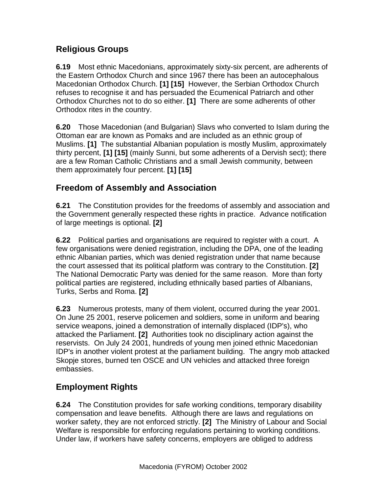#### <span id="page-15-0"></span>**Religious Groups**

**6.19** Most ethnic Macedonians, approximately sixty-six percent, are adherents of the Eastern Orthodox Church and since 1967 there has been an autocephalous Macedonian Orthodox Church. **[1] [15]** However, the Serbian Orthodox Church refuses to recognise it and has persuaded the Ecumenical Patriarch and other Orthodox Churches not to do so either. **[1]** There are some adherents of other Orthodox rites in the country.

**6.20** Those Macedonian (and Bulgarian) Slavs who converted to Islam during the Ottoman ear are known as Pomaks and are included as an ethnic group of Muslims. **[1]** The substantial Albanian population is mostly Muslim, approximately thirty percent, **[1] [15]** (mainly Sunni, but some adherents of a Dervish sect); there are a few Roman Catholic Christians and a small Jewish community, between them approximately four percent. **[1] [15]** 

#### **Freedom of Assembly and Association**

**6.21** The Constitution provides for the freedoms of assembly and association and the Government generally respected these rights in practice. Advance notification of large meetings is optional. **[2]**

**6.22** Political parties and organisations are required to register with a court. A few organisations were denied registration, including the DPA, one of the leading ethnic Albanian parties, which was denied registration under that name because the court assessed that its political platform was contrary to the Constitution. **[2]** The National Democratic Party was denied for the same reason. More than forty political parties are registered, including ethnically based parties of Albanians, Turks, Serbs and Roma. **[2]**

**6.23** Numerous protests, many of them violent, occurred during the year 2001. On June 25 2001, reserve policemen and soldiers, some in uniform and bearing service weapons, joined a demonstration of internally displaced (IDP's), who attacked the Parliament. **[2]** Authorities took no disciplinary action against the reservists. On July 24 2001, hundreds of young men joined ethnic Macedonian IDP's in another violent protest at the parliament building. The angry mob attacked Skopje stores, burned ten OSCE and UN vehicles and attacked three foreign embassies.

## **Employment Rights**

**6.24** The Constitution provides for safe working conditions, temporary disability compensation and leave benefits. Although there are laws and regulations on worker safety, they are not enforced strictly. **[2]** The Ministry of Labour and Social Welfare is responsible for enforcing regulations pertaining to working conditions. Under law, if workers have safety concerns, employers are obliged to address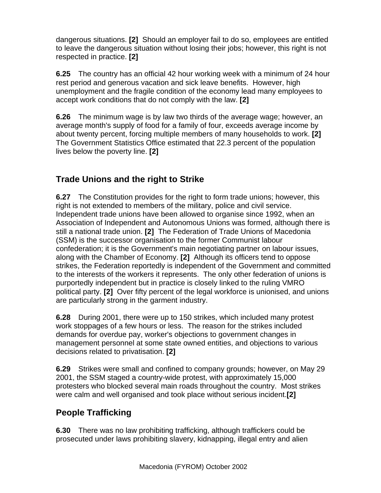<span id="page-16-0"></span>dangerous situations. **[2]** Should an employer fail to do so, employees are entitled to leave the dangerous situation without losing their jobs; however, this right is not respected in practice. **[2]**

**6.25** The country has an official 42 hour working week with a minimum of 24 hour rest period and generous vacation and sick leave benefits. However, high unemployment and the fragile condition of the economy lead many employees to accept work conditions that do not comply with the law. **[2]**

**6.26** The minimum wage is by law two thirds of the average wage; however, an average month's supply of food for a family of four, exceeds average income by about twenty percent, forcing multiple members of many households to work. **[2]** The Government Statistics Office estimated that 22.3 percent of the population lives below the poverty line. **[2]** 

## **Trade Unions and the right to Strike**

**6.27** The Constitution provides for the right to form trade unions; however, this right is not extended to members of the military, police and civil service. Independent trade unions have been allowed to organise since 1992, when an Association of Independent and Autonomous Unions was formed, although there is still a national trade union. **[2]** The Federation of Trade Unions of Macedonia (SSM) is the successor organisation to the former Communist labour confederation; it is the Government's main negotiating partner on labour issues, along with the Chamber of Economy. **[2]** Although its officers tend to oppose strikes, the Federation reportedly is independent of the Government and committed to the interests of the workers it represents. The only other federation of unions is purportedly independent but in practice is closely linked to the ruling VMRO political party. **[2]** Over fifty percent of the legal workforce is unionised, and unions are particularly strong in the garment industry.

**6.28** During 2001, there were up to 150 strikes, which included many protest work stoppages of a few hours or less. The reason for the strikes included demands for overdue pay, worker's objections to government changes in management personnel at some state owned entities, and objections to various decisions related to privatisation. **[2]**

**6.29** Strikes were small and confined to company grounds; however, on May 29 2001, the SSM staged a country-wide protest, with approximately 15,000 protesters who blocked several main roads throughout the country. Most strikes were calm and well organised and took place without serious incident.**[2]** 

#### **People Trafficking**

**6.30** There was no law prohibiting trafficking, although traffickers could be prosecuted under laws prohibiting slavery, kidnapping, illegal entry and alien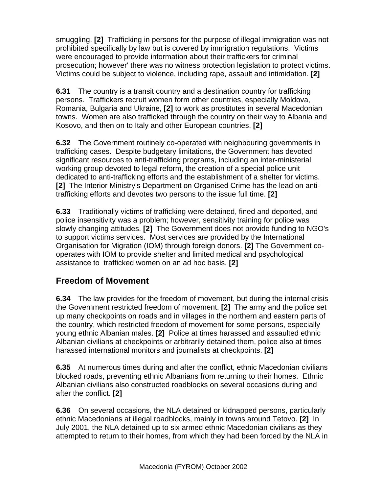<span id="page-17-0"></span>smuggling. **[2]** Trafficking in persons for the purpose of illegal immigration was not prohibited specifically by law but is covered by immigration regulations. Victims were encouraged to provide information about their traffickers for criminal prosecution; however' there was no witness protection legislation to protect victims. Victims could be subject to violence, including rape, assault and intimidation. **[2]**

**6.31** The country is a transit country and a destination country for trafficking persons. Traffickers recruit women form other countries, especially Moldova, Romania, Bulgaria and Ukraine, **[2]** to work as prostitutes in several Macedonian towns. Women are also trafficked through the country on their way to Albania and Kosovo, and then on to Italy and other European countries. **[2]**

**6.32** The Government routinely co-operated with neighbouring governments in trafficking cases. Despite budgetary limitations, the Government has devoted significant resources to anti-trafficking programs, including an inter-ministerial working group devoted to legal reform, the creation of a special police unit dedicated to anti-trafficking efforts and the establishment of a shelter for victims. **[2]** The Interior Ministry's Department on Organised Crime has the lead on antitrafficking efforts and devotes two persons to the issue full time. **[2]**

**6.33** Traditionally victims of trafficking were detained, fined and deported, and police insensitivity was a problem; however, sensitivity training for police was slowly changing attitudes. **[2]** The Government does not provide funding to NGO's to support victims services. Most services are provided by the International Organisation for Migration (IOM) through foreign donors. **[2]** The Government cooperates with IOM to provide shelter and limited medical and psychological assistance to trafficked women on an ad hoc basis. **[2]**

#### **Freedom of Movement**

**6.34** The law provides for the freedom of movement, but during the internal crisis the Government restricted freedom of movement. **[2]** The army and the police set up many checkpoints on roads and in villages in the northern and eastern parts of the country, which restricted freedom of movement for some persons, especially young ethnic Albanian males. **[2]** Police at times harassed and assaulted ethnic Albanian civilians at checkpoints or arbitrarily detained them, police also at times harassed international monitors and journalists at checkpoints. **[2]**

**6.35** At numerous times during and after the conflict, ethnic Macedonian civilians blocked roads, preventing ethnic Albanians from returning to their homes. Ethnic Albanian civilians also constructed roadblocks on several occasions during and after the conflict. **[2]**

**6.36** On several occasions, the NLA detained or kidnapped persons, particularly ethnic Macedonians at illegal roadblocks, mainly in towns around Tetovo. **[2]** In July 2001, the NLA detained up to six armed ethnic Macedonian civilians as they attempted to return to their homes, from which they had been forced by the NLA in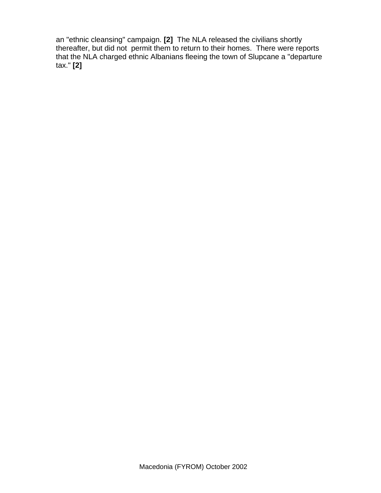an "ethnic cleansing" campaign. **[2]** The NLA released the civilians shortly thereafter, but did not permit them to return to their homes. There were reports that the NLA charged ethnic Albanians fleeing the town of Slupcane a "departure tax." **[2]**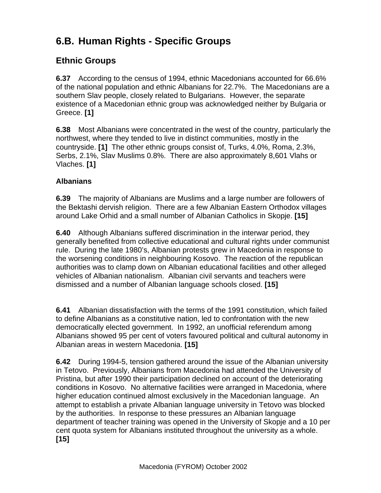# <span id="page-19-0"></span>**6.B. Human Rights - Specific Groups**

#### **Ethnic Groups**

**6.37** According to the census of 1994, ethnic Macedonians accounted for 66.6% of the national population and ethnic Albanians for 22.7%. The Macedonians are a southern Slav people, closely related to Bulgarians. However, the separate existence of a Macedonian ethnic group was acknowledged neither by Bulgaria or Greece. **[1]** 

**6.38** Most Albanians were concentrated in the west of the country, particularly the northwest, where they tended to live in distinct communities, mostly in the countryside. **[1]** The other ethnic groups consist of, Turks, 4.0%, Roma, 2.3%, Serbs, 2.1%, Slav Muslims 0.8%. There are also approximately 8,601 Vlahs or Vlaches. **[1]**

#### **Albanians**

**6.39** The majority of Albanians are Muslims and a large number are followers of the Bektashi dervish religion. There are a few Albanian Eastern Orthodox villages around Lake Orhid and a small number of Albanian Catholics in Skopje. **[15]**

**6.40** Although Albanians suffered discrimination in the interwar period, they generally benefited from collective educational and cultural rights under communist rule. During the late 1980's, Albanian protests grew in Macedonia in response to the worsening conditions in neighbouring Kosovo. The reaction of the republican authorities was to clamp down on Albanian educational facilities and other alleged vehicles of Albanian nationalism. Albanian civil servants and teachers were dismissed and a number of Albanian language schools closed. **[15]** 

**6.41** Albanian dissatisfaction with the terms of the 1991 constitution, which failed to define Albanians as a constitutive nation, led to confrontation with the new democratically elected government. In 1992, an unofficial referendum among Albanians showed 95 per cent of voters favoured political and cultural autonomy in Albanian areas in western Macedonia. **[15]** 

**6.42** During 1994-5, tension gathered around the issue of the Albanian university in Tetovo. Previously, Albanians from Macedonia had attended the University of Pristina, but after 1990 their participation declined on account of the deteriorating conditions in Kosovo. No alternative facilities were arranged in Macedonia, where higher education continued almost exclusively in the Macedonian language. An attempt to establish a private Albanian language university in Tetovo was blocked by the authorities. In response to these pressures an Albanian language department of teacher training was opened in the University of Skopje and a 10 per cent quota system for Albanians instituted throughout the university as a whole. **[15]**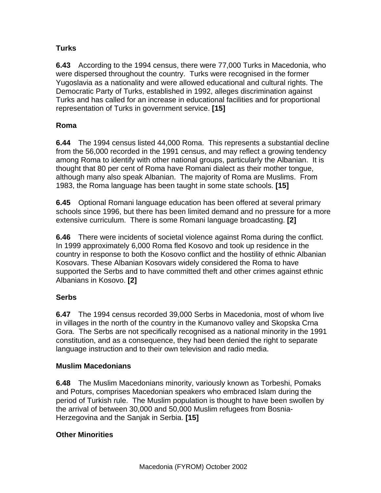#### <span id="page-20-0"></span>**Turks**

**6.43** According to the 1994 census, there were 77,000 Turks in Macedonia, who were dispersed throughout the country. Turks were recognised in the former Yugoslavia as a nationality and were allowed educational and cultural rights. The Democratic Party of Turks, established in 1992, alleges discrimination against Turks and has called for an increase in educational facilities and for proportional representation of Turks in government service. **[15]**

#### **Roma**

**6.44** The 1994 census listed 44,000 Roma. This represents a substantial decline from the 56,000 recorded in the 1991 census, and may reflect a growing tendency among Roma to identify with other national groups, particularly the Albanian. It is thought that 80 per cent of Roma have Romani dialect as their mother tongue, although many also speak Albanian. The majority of Roma are Muslims. From 1983, the Roma language has been taught in some state schools. **[15]** 

**6.45** Optional Romani language education has been offered at several primary schools since 1996, but there has been limited demand and no pressure for a more extensive curriculum. There is some Romani language broadcasting. **[2]** 

**6.46** There were incidents of societal violence against Roma during the conflict. In 1999 approximately 6,000 Roma fled Kosovo and took up residence in the country in response to both the Kosovo conflict and the hostility of ethnic Albanian Kosovars. These Albanian Kosovars widely considered the Roma to have supported the Serbs and to have committed theft and other crimes against ethnic Albanians in Kosovo. **[2]** 

#### **Serbs**

**6.47** The 1994 census recorded 39,000 Serbs in Macedonia, most of whom live in villages in the north of the country in the Kumanovo valley and Skopska Crna Gora. The Serbs are not specifically recognised as a national minority in the 1991 constitution, and as a consequence, they had been denied the right to separate language instruction and to their own television and radio media.

#### **Muslim Macedonians**

**6.48** The Muslim Macedonians minority, variously known as Torbeshi, Pomaks and Poturs, comprises Macedonian speakers who embraced Islam during the period of Turkish rule. The Muslim population is thought to have been swollen by the arrival of between 30,000 and 50,000 Muslim refugees from Bosnia-Herzegovina and the Sanjak in Serbia. **[15]**

#### **Other Minorities**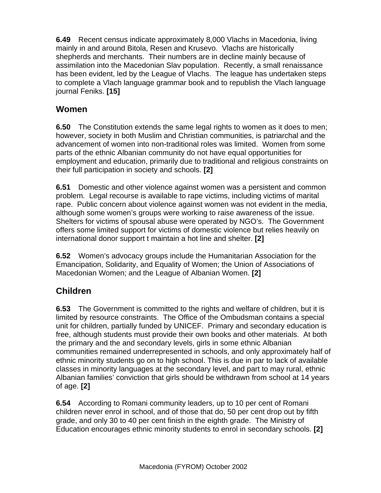<span id="page-21-0"></span>**6.49** Recent census indicate approximately 8,000 Vlachs in Macedonia, living mainly in and around Bitola, Resen and Krusevo. Vlachs are historically shepherds and merchants. Their numbers are in decline mainly because of assimilation into the Macedonian Slav population. Recently, a small renaissance has been evident, led by the League of Vlachs. The league has undertaken steps to complete a Vlach language grammar book and to republish the Vlach language journal Feniks. **[15]** 

#### **Women**

**6.50** The Constitution extends the same legal rights to women as it does to men; however, society in both Muslim and Christian communities, is patriarchal and the advancement of women into non-traditional roles was limited. Women from some parts of the ethnic Albanian community do not have equal opportunities for employment and education, primarily due to traditional and religious constraints on their full participation in society and schools. **[2]**

**6.51** Domestic and other violence against women was a persistent and common problem. Legal recourse is available to rape victims, including victims of marital rape. Public concern about violence against women was not evident in the media, although some women's groups were working to raise awareness of the issue. Shelters for victims of spousal abuse were operated by NGO's. The Government offers some limited support for victims of domestic violence but relies heavily on international donor support t maintain a hot line and shelter. **[2]** 

**6.52** Women's advocacy groups include the Humanitarian Association for the Emancipation, Solidarity, and Equality of Women; the Union of Associations of Macedonian Women; and the League of Albanian Women. **[2]** 

#### **Children**

**6.53** The Government is committed to the rights and welfare of children, but it is limited by resource constraints. The Office of the Ombudsman contains a special unit for children, partially funded by UNICEF. Primary and secondary education is free, although students must provide their own books and other materials. At both the primary and the and secondary levels, girls in some ethnic Albanian communities remained underrepresented in schools, and only approximately half of ethnic minority students go on to high school. This is due in par to lack of available classes in minority languages at the secondary level, and part to may rural, ethnic Albanian families' conviction that girls should be withdrawn from school at 14 years of age. **[2]** 

**6.54** According to Romani community leaders, up to 10 per cent of Romani children never enrol in school, and of those that do, 50 per cent drop out by fifth grade, and only 30 to 40 per cent finish in the eighth grade. The Ministry of Education encourages ethnic minority students to enrol in secondary schools. **[2]**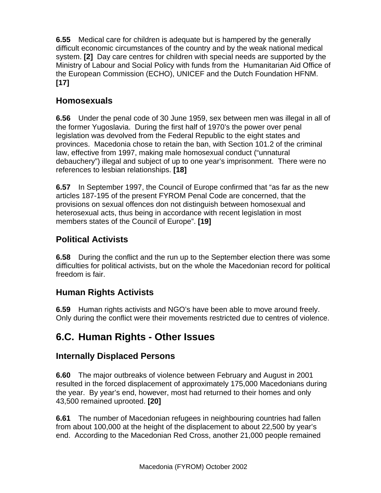<span id="page-22-0"></span>**6.55** Medical care for children is adequate but is hampered by the generally difficult economic circumstances of the country and by the weak national medical system. **[2]** Day care centres for children with special needs are supported by the Ministry of Labour and Social Policy with funds from the Humanitarian Aid Office of the European Commission (ECHO), UNICEF and the Dutch Foundation HFNM. **[17]** 

#### **Homosexuals**

**6.56** Under the penal code of 30 June 1959, sex between men was illegal in all of the former Yugoslavia. During the first half of 1970's the power over penal legislation was devolved from the Federal Republic to the eight states and provinces. Macedonia chose to retain the ban, with Section 101.2 of the criminal law, effective from 1997, making male homosexual conduct ("unnatural debauchery") illegal and subject of up to one year's imprisonment. There were no references to lesbian relationships. **[18]** 

**6.57** In September 1997, the Council of Europe confirmed that "as far as the new articles 187-195 of the present FYROM Penal Code are concerned, that the provisions on sexual offences don not distinguish between homosexual and heterosexual acts, thus being in accordance with recent legislation in most members states of the Council of Europe". **[19]** 

## **Political Activists**

**6.58** During the conflict and the run up to the September election there was some difficulties for political activists, but on the whole the Macedonian record for political freedom is fair.

## **Human Rights Activists**

**6.59** Human rights activists and NGO's have been able to move around freely. Only during the conflict were their movements restricted due to centres of violence.

# **6.C. Human Rights - Other Issues**

#### **Internally Displaced Persons**

**6.60** The major outbreaks of violence between February and August in 2001 resulted in the forced displacement of approximately 175,000 Macedonians during the year. By year's end, however, most had returned to their homes and only 43,500 remained uprooted. **[20]**

**6.61** The number of Macedonian refugees in neighbouring countries had fallen from about 100,000 at the height of the displacement to about 22,500 by year's end. According to the Macedonian Red Cross, another 21,000 people remained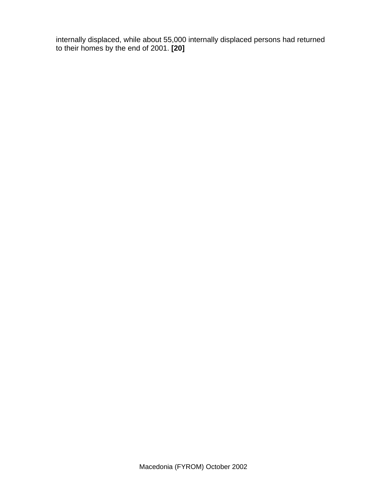internally displaced, while about 55,000 internally displaced persons had returned to their homes by the end of 2001. **[20]**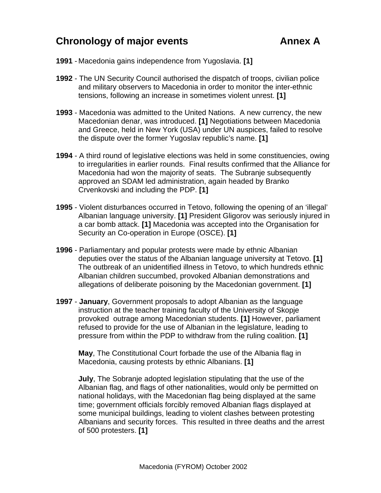## <span id="page-24-0"></span>**Chronology of major events Annex A**

- **1991** Macedonia gains independence from Yugoslavia. **[1]**
- **1992**  The UN Security Council authorised the dispatch of troops, civilian police and military observers to Macedonia in order to monitor the inter-ethnic tensions, following an increase in sometimes violent unrest. **[1]**
- **1993** Macedonia was admitted to the United Nations. A new currency, the new Macedonian denar, was introduced. **[1]** Negotiations between Macedonia and Greece, held in New York (USA) under UN auspices, failed to resolve the dispute over the former Yugoslav republic's name. **[1]**
- **1994** A third round of legislative elections was held in some constituencies, owing to irregularities in earlier rounds. Final results confirmed that the Alliance for Macedonia had won the majority of seats. The Subranje subsequently approved an SDAM led administration, again headed by Branko Crvenkovski and including the PDP. **[1]**
- **1995** Violent disturbances occurred in Tetovo, following the opening of an 'illegal' Albanian language university. **[1]** President Gligorov was seriously injured in a car bomb attack. **[1]** Macedonia was accepted into the Organisation for Security an Co-operation in Europe (OSCE). **[1]**
- **1996** Parliamentary and popular protests were made by ethnic Albanian deputies over the status of the Albanian language university at Tetovo. **[1]** The outbreak of an unidentified illness in Tetovo, to which hundreds ethnic Albanian children succumbed, provoked Albanian demonstrations and allegations of deliberate poisoning by the Macedonian government. **[1]**
- **1997 January**, Government proposals to adopt Albanian as the language instruction at the teacher training faculty of the University of Skopje provoked outrage among Macedonian students. **[1]** However, parliament refused to provide for the use of Albanian in the legislature, leading to pressure from within the PDP to withdraw from the ruling coalition. **[1]**

**May**, The Constitutional Court forbade the use of the Albania flag in Macedonia, causing protests by ethnic Albanians. **[1]** 

**July**, The Sobranje adopted legislation stipulating that the use of the Albanian flag, and flags of other nationalities, would only be permitted on national holidays, with the Macedonian flag being displayed at the same time; government officials forcibly removed Albanian flags displayed at some municipal buildings, leading to violent clashes between protesting Albanians and security forces. This resulted in three deaths and the arrest of 500 protesters. **[1]**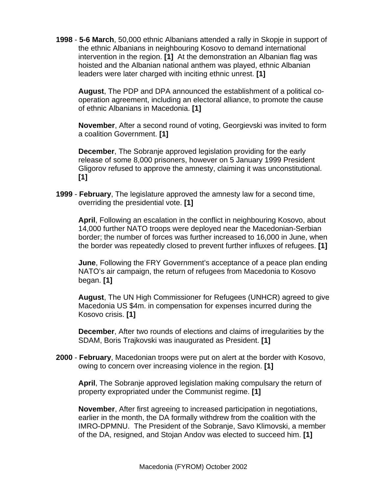**1998** - **5-6 March**, 50,000 ethnic Albanians attended a rally in Skopje in support of the ethnic Albanians in neighbouring Kosovo to demand international intervention in the region. **[1]** At the demonstration an Albanian flag was hoisted and the Albanian national anthem was played, ethnic Albanian leaders were later charged with inciting ethnic unrest. **[1]** 

**August**, The PDP and DPA announced the establishment of a political cooperation agreement, including an electoral alliance, to promote the cause of ethnic Albanians in Macedonia. **[1]** 

**November**, After a second round of voting, Georgievski was invited to form a coalition Government. **[1]** 

**December**, The Sobranje approved legislation providing for the early release of some 8,000 prisoners, however on 5 January 1999 President Gligorov refused to approve the amnesty, claiming it was unconstitutional. **[1]** 

**1999** - **February**, The legislature approved the amnesty law for a second time, overriding the presidential vote. **[1]** 

**April**, Following an escalation in the conflict in neighbouring Kosovo, about 14,000 further NATO troops were deployed near the Macedonian-Serbian border; the number of forces was further increased to 16,000 in June, when the border was repeatedly closed to prevent further influxes of refugees. **[1]** 

**June**, Following the FRY Government's acceptance of a peace plan ending NATO's air campaign, the return of refugees from Macedonia to Kosovo began. **[1]** 

**August**, The UN High Commissioner for Refugees (UNHCR) agreed to give Macedonia US \$4m. in compensation for expenses incurred during the Kosovo crisis. **[1]** 

**December**, After two rounds of elections and claims of irregularities by the SDAM, Boris Trajkovski was inaugurated as President. **[1]** 

**2000** - **February**, Macedonian troops were put on alert at the border with Kosovo, owing to concern over increasing violence in the region. **[1]** 

**April**, The Sobranje approved legislation making compulsary the return of property expropriated under the Communist regime. **[1]** 

**November**, After first agreeing to increased participation in negotiations, earlier in the month, the DA formally withdrew from the coalition with the IMRO-DPMNU. The President of the Sobranje, Savo Klimovski, a member of the DA, resigned, and Stojan Andov was elected to succeed him. **[1]**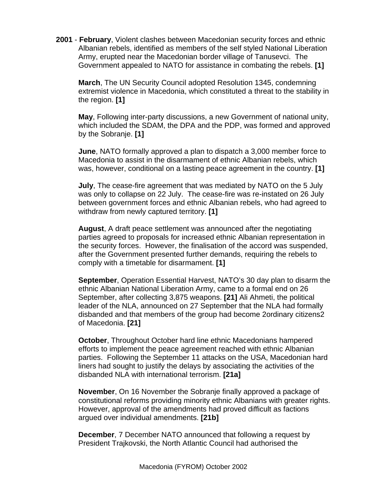**2001** - **February**, Violent clashes between Macedonian security forces and ethnic Albanian rebels, identified as members of the self styled National Liberation Army, erupted near the Macedonian border village of Tanusevci. The Government appealed to NATO for assistance in combating the rebels. **[1]** 

**March**, The UN Security Council adopted Resolution 1345, condemning extremist violence in Macedonia, which constituted a threat to the stability in the region. **[1]** 

**May**, Following inter-party discussions, a new Government of national unity, which included the SDAM, the DPA and the PDP, was formed and approved by the Sobranje. **[1]** 

**June**, NATO formally approved a plan to dispatch a 3,000 member force to Macedonia to assist in the disarmament of ethnic Albanian rebels, which was, however, conditional on a lasting peace agreement in the country. **[1]** 

**July**, The cease-fire agreement that was mediated by NATO on the 5 July was only to collapse on 22 July. The cease-fire was re-instated on 26 July between government forces and ethnic Albanian rebels, who had agreed to withdraw from newly captured territory. **[1]** 

**August**, A draft peace settlement was announced after the negotiating parties agreed to proposals for increased ethnic Albanian representation in the security forces. However, the finalisation of the accord was suspended, after the Government presented further demands, requiring the rebels to comply with a timetable for disarmament. **[1]** 

**September**, Operation Essential Harvest, NATO's 30 day plan to disarm the ethnic Albanian National Liberation Army, came to a formal end on 26 September, after collecting 3,875 weapons. **[21]** Ali Ahmeti, the political leader of the NLA, announced on 27 September that the NLA had formally disbanded and that members of the group had become 2ordinary citizens2 of Macedonia. **[21]** 

**October**, Throughout October hard line ethnic Macedonians hampered efforts to implement the peace agreement reached with ethnic Albanian parties. Following the September 11 attacks on the USA, Macedonian hard liners had sought to justify the delays by associating the activities of the disbanded NLA with international terrorism. **[21a]** 

**November**, On 16 November the Sobranje finally approved a package of constitutional reforms providing minority ethnic Albanians with greater rights. However, approval of the amendments had proved difficult as factions argued over individual amendments. **[21b]** 

**December**, 7 December NATO announced that following a request by President Trajkovski, the North Atlantic Council had authorised the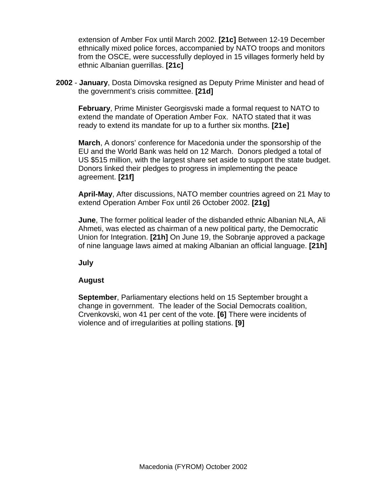extension of Amber Fox until March 2002. **[21c]** Between 12-19 December ethnically mixed police forces, accompanied by NATO troops and monitors from the OSCE, were successfully deployed in 15 villages formerly held by ethnic Albanian guerrillas. **[21c]** 

**2002** - **January**, Dosta Dimovska resigned as Deputy Prime Minister and head of the government's crisis committee. **[21d]** 

**February**, Prime Minister Georgisvski made a formal request to NATO to extend the mandate of Operation Amber Fox. NATO stated that it was ready to extend its mandate for up to a further six months. **[21e]** 

**March**, A donors' conference for Macedonia under the sponsorship of the EU and the World Bank was held on 12 March. Donors pledged a total of US \$515 million, with the largest share set aside to support the state budget. Donors linked their pledges to progress in implementing the peace agreement. **[21f]** 

**April-May**, After discussions, NATO member countries agreed on 21 May to extend Operation Amber Fox until 26 October 2002. **[21g]**

**June**, The former political leader of the disbanded ethnic Albanian NLA, Ali Ahmeti, was elected as chairman of a new political party, the Democratic Union for Integration. **[21h]** On June 19, the Sobranje approved a package of nine language laws aimed at making Albanian an official language. **[21h]** 

**July** 

#### **August**

**September**, Parliamentary elections held on 15 September brought a change in government. The leader of the Social Democrats coalition, Crvenkovski, won 41 per cent of the vote. **[6]** There were incidents of violence and of irregularities at polling stations. **[9]**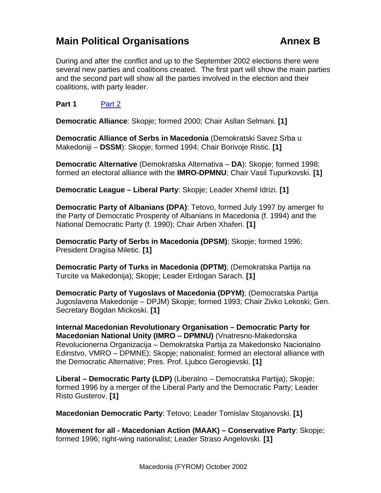## <span id="page-28-0"></span>**Main Political Organisations Annex B**

During and after the conflict and up to the September 2002 elections there were several new parties and coalitions created. The first part will show the main parties and the second part will show all the parties involved in the election and their coalitions, with party leader.

**Part 1** [Part 2](#page-29-0)

**Democratic Alliance**: Skopje; formed 2000; Chair Asllan Selmani. **[1]** 

**Democratic Alliance of Serbs in Macedonia** (Demokratski Savez Srba u Makedoniji – **DSSM**): Skopje; formed 1994; Chair Borivoje Ristic. **[1]** 

**Democratic Alternative** (Demokratska Alternativa – **DA**): Skopje; formed 1998; formed an electoral alliance with the **IMRO-DPMNU**; Chair Vasil Tupurkovski. **[1]** 

**Democratic League – Liberal Party**: Skopje; Leader Xhemil Idrizi. **[1]** 

**Democratic Party of Albanians (DPA)**: Tetovo, formed July 1997 by amerger fo the Party of Democratic Prosperity of Albanians in Macedonia (f. 1994) and the National Democratic Party (f. 1990); Chair Arben Xhaferi. **[1]**

**Democratic Party of Serbs in Macedonia (DPSM)**; Skopje; formed 1996; President Dragisa Miletic. **[1]**

**Democratic Party of Turks in Macedonia (DPTM)**; (Demokratska Partija na Turcite va Makedonija); Skopje; Leader Erdogan Sarach. **[1]**

**Democratic Party of Yugoslavs of Macedonia (DPYM)**; (Democratska Partija Jugoslavena Makedonije – DPJM) Skopje; formed 1993; Chair Zivko Lekoski; Gen. Secretary Bogdan Mickoski. **[1]**

**Internal Macedonian Revolutionary Organisation – Democratic Party for Macedonian National Unity (IMRO – DPMNU)** (Vnatresno-Makedonska Revolucionerna Organizacija – Demokratska Partija za Makedonsko Nacionalno Edinstvo, VMRO – DPMNE); Skopje; nationalist; formed an electoral alliance with the Democratic Alternative; Pres. Prof. Ljubco Gerogievski. **[1]**

**Liberal – Democratic Party (LDP)** (Liberalno – Democratska Partija); Skopje; formed 1996 by a merger of the Liberal Party and the Democratic Party; Leader Risto Gusterov. **[1]**

**Macedonian Democratic Party**: Tetovo; Leader Tomislav Stojanovski. **[1]**

**Movement for all - Macedonian Action (MAAK) – Conservative Party**: Skopje; formed 1996; right-wing nationalist; Leader Straso Angelovski. **[1]**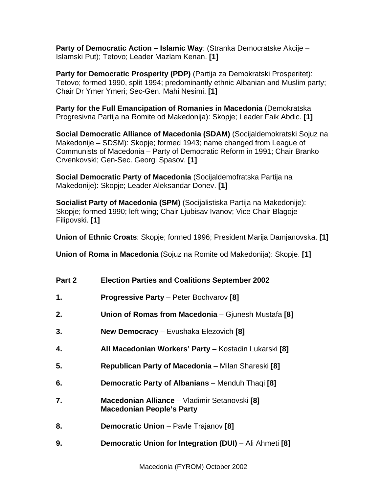<span id="page-29-0"></span>**Party of Democratic Action – Islamic Way**: (Stranka Democratske Akcije – Islamski Put); Tetovo; Leader Mazlam Kenan. **[1]**

**Party for Democratic Prosperity (PDP)** (Partija za Demokratski Prosperitet): Tetovo; formed 1990, split 1994; predominantly ethnic Albanian and Muslim party; Chair Dr Ymer Ymeri; Sec-Gen. Mahi Nesimi. **[1]**

**Party for the Full Emancipation of Romanies in Macedonia** (Demokratska Progresivna Partija na Romite od Makedonija): Skopje; Leader Faik Abdic. **[1]**

**Social Democratic Alliance of Macedonia (SDAM)** (Socijaldemokratski Sojuz na Makedonije – SDSM): Skopje; formed 1943; name changed from League of Communists of Macedonia – Party of Democratic Reform in 1991; Chair Branko Crvenkovski; Gen-Sec. Georgi Spasov. **[1]**

**Social Democratic Party of Macedonia** (Socijaldemofratska Partija na Makedonije): Skopje; Leader Aleksandar Donev. **[1]**

**Socialist Party of Macedonia (SPM)** (Socijalistiska Partija na Makedonije): Skopje; formed 1990; left wing; Chair Ljubisav Ivanov; Vice Chair Blagoje Filipovski. **[1]**

**Union of Ethnic Croats**: Skopje; formed 1996; President Marija Damjanovska. **[1]**

**Union of Roma in Macedonia** (Sojuz na Romite od Makedonija): Skopje. **[1]**

| Part 2 | <b>Election Parties and Coalitions September 2002</b>                             |
|--------|-----------------------------------------------------------------------------------|
| 1.     | <b>Progressive Party - Peter Bochvarov [8]</b>                                    |
| 2.     | Union of Romas from Macedonia - Gjunesh Mustafa [8]                               |
| 3.     | <b>New Democracy</b> - Evushaka Elezovich [8]                                     |
| 4.     | All Macedonian Workers' Party - Kostadin Lukarski [8]                             |
| 5.     | Republican Party of Macedonia - Milan Shareski [8]                                |
| 6.     | <b>Democratic Party of Albanians</b> – Menduh Thaqi [8]                           |
| 7.     | Macedonian Alliance - Vladimir Setanovski [8]<br><b>Macedonian People's Party</b> |
| 8.     | <b>Democratic Union</b> - Pavle Trajanov [8]                                      |
| 9.     | Democratic Union for Integration (DUI) - Ali Ahmeti [8]                           |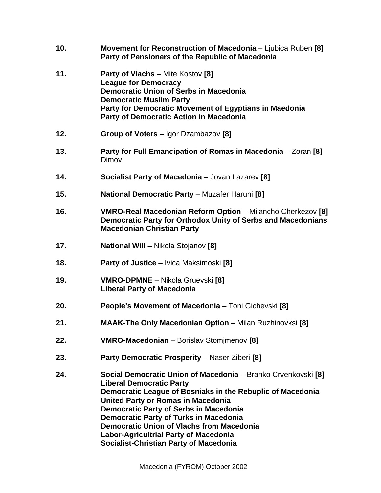| 10. | Movement for Reconstruction of Macedonia - Ljubica Ruben [8]<br>Party of Pensioners of the Republic of Macedonia                                                                                                                                                                                                                                                                                                                                                   |
|-----|--------------------------------------------------------------------------------------------------------------------------------------------------------------------------------------------------------------------------------------------------------------------------------------------------------------------------------------------------------------------------------------------------------------------------------------------------------------------|
| 11. | <b>Party of Vlachs</b> – Mite Kostov [8]<br><b>League for Democracy</b><br><b>Democratic Union of Serbs in Macedonia</b><br><b>Democratic Muslim Party</b><br>Party for Democratic Movement of Egyptians in Maedonia<br><b>Party of Democratic Action in Macedonia</b>                                                                                                                                                                                             |
| 12. | <b>Group of Voters</b> – Igor Dzambazov [8]                                                                                                                                                                                                                                                                                                                                                                                                                        |
| 13. | Party for Full Emancipation of Romas in Macedonia - Zoran [8]<br>Dimov                                                                                                                                                                                                                                                                                                                                                                                             |
| 14. | Socialist Party of Macedonia - Jovan Lazarev [8]                                                                                                                                                                                                                                                                                                                                                                                                                   |
| 15. | <b>National Democratic Party - Muzafer Haruni [8]</b>                                                                                                                                                                                                                                                                                                                                                                                                              |
| 16. | VMRO-Real Macedonian Reform Option - Milancho Cherkezov [8]<br>Democratic Party for Orthodox Unity of Serbs and Macedonians<br><b>Macedonian Christian Party</b>                                                                                                                                                                                                                                                                                                   |
| 17. | <b>National Will - Nikola Stojanov [8]</b>                                                                                                                                                                                                                                                                                                                                                                                                                         |
| 18. | <b>Party of Justice</b> – Ivica Maksimoski [8]                                                                                                                                                                                                                                                                                                                                                                                                                     |
| 19. | <b>VMRO-DPMNE</b> – Nikola Gruevski [8]<br><b>Liberal Party of Macedonia</b>                                                                                                                                                                                                                                                                                                                                                                                       |
| 20. | People's Movement of Macedonia - Toni Gichevski [8]                                                                                                                                                                                                                                                                                                                                                                                                                |
| 21. | <b>MAAK-The Only Macedonian Option</b> - Milan Ruzhinovksi [8]                                                                                                                                                                                                                                                                                                                                                                                                     |
| 22. | VMRO-Macedonian - Borislav Stomjmenov [8]                                                                                                                                                                                                                                                                                                                                                                                                                          |
| 23. | Party Democratic Prosperity - Naser Ziberi [8]                                                                                                                                                                                                                                                                                                                                                                                                                     |
| 24. | Social Democratic Union of Macedonia - Branko Crvenkovski [8]<br><b>Liberal Democratic Party</b><br>Democratic League of Bosniaks in the Rebuplic of Macedonia<br><b>United Party or Romas in Macedonia</b><br><b>Democratic Party of Serbs in Macedonia</b><br><b>Democratic Party of Turks in Macedonia</b><br><b>Democratic Union of Vlachs from Macedonia</b><br><b>Labor-Agricultrial Party of Macedonia</b><br><b>Socialist-Christian Party of Macedonia</b> |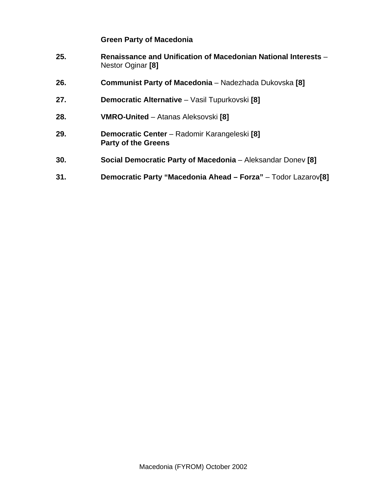#### **Green Party of Macedonia**

- **25. Renaissance and Unification of Macedonian National Interests** Nestor Oginar **[8]**
- **26. Communist Party of Macedonia** Nadezhada Dukovska **[8]**
- **27. Democratic Alternative** Vasil Tupurkovski **[8]**
- **28. VMRO-United** Atanas Aleksovski **[8]**
- **29. Democratic Center** Radomir Karangeleski **[8] Party of the Greens**
- **30. Social Democratic Party of Macedonia** Aleksandar Donev **[8]**
- **31. Democratic Party "Macedonia Ahead Forza"** Todor Lazarov**[8]**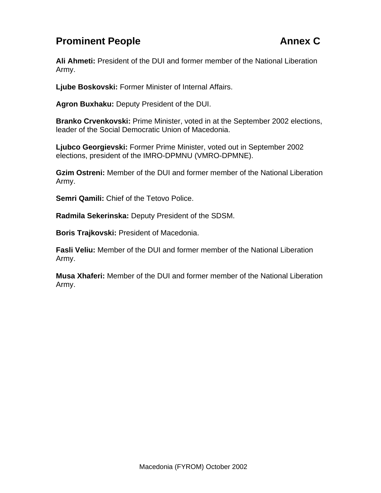## <span id="page-32-0"></span>**Prominent People Annex C**

**Ali Ahmeti:** President of the DUI and former member of the National Liberation Army.

**Ljube Boskovski:** Former Minister of Internal Affairs.

**Agron Buxhaku:** Deputy President of the DUI.

**Branko Crvenkovski:** Prime Minister, voted in at the September 2002 elections, leader of the Social Democratic Union of Macedonia.

**Ljubco Georgievski:** Former Prime Minister, voted out in September 2002 elections, president of the IMRO-DPMNU (VMRO-DPMNE).

**Gzim Ostreni:** Member of the DUI and former member of the National Liberation Army.

**Semri Qamili:** Chief of the Tetovo Police.

**Radmila Sekerinska:** Deputy President of the SDSM.

**Boris Trajkovski:** President of Macedonia.

**Fasli Veliu:** Member of the DUI and former member of the National Liberation Army.

**Musa Xhaferi:** Member of the DUI and former member of the National Liberation Army.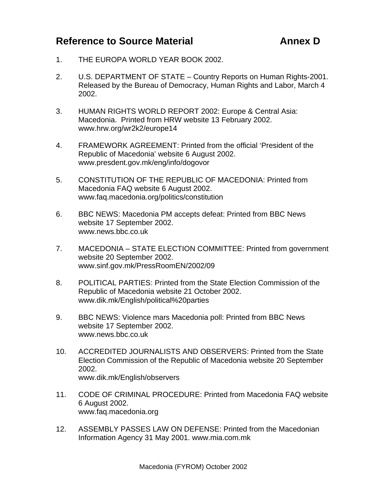## <span id="page-33-0"></span>**Reference to Source Material Material Annex D**

- 1. THE EUROPA WORLD YEAR BOOK 2002.
- 2. U.S. DEPARTMENT OF STATE Country Reports on Human Rights-2001. Released by the Bureau of Democracy, Human Rights and Labor, March 4 2002.
- 3. HUMAN RIGHTS WORLD REPORT 2002: Europe & Central Asia: Macedonia. Printed from HRW website 13 February 2002. www.hrw.org/wr2k2/europe14
- 4. FRAMEWORK AGREEMENT: Printed from the official 'President of the Republic of Macedonia' website 6 August 2002. www.presdent.gov.mk/eng/info/dogovor
- 5. CONSTITUTION OF THE REPUBLIC OF MACEDONIA: Printed from Macedonia FAQ website 6 August 2002. www.faq.macedonia.org/politics/constitution
- 6. BBC NEWS: Macedonia PM accepts defeat: Printed from BBC News website 17 September 2002. www.news.bbc.co.uk
- 7. MACEDONIA STATE ELECTION COMMITTEE: Printed from government website 20 September 2002. www.sinf.gov.mk/PressRoomEN/2002/09
- 8. POLITICAL PARTIES: Printed from the State Election Commission of the Republic of Macedonia website 21 October 2002. www.dik.mk/English/political%20parties
- 9. BBC NEWS: Violence mars Macedonia poll: Printed from BBC News website 17 September 2002. www.news.bbc.co.uk
- 10. ACCREDITED JOURNALISTS AND OBSERVERS: Printed from the State Election Commission of the Republic of Macedonia website 20 September 2002. www.dik.mk/English/observers
- 11. CODE OF CRIMINAL PROCEDURE: Printed from Macedonia FAQ website 6 August 2002. www.faq.macedonia.org
- 12. ASSEMBLY PASSES LAW ON DEFENSE: Printed from the Macedonian Information Agency 31 May 2001. www.mia.com.mk